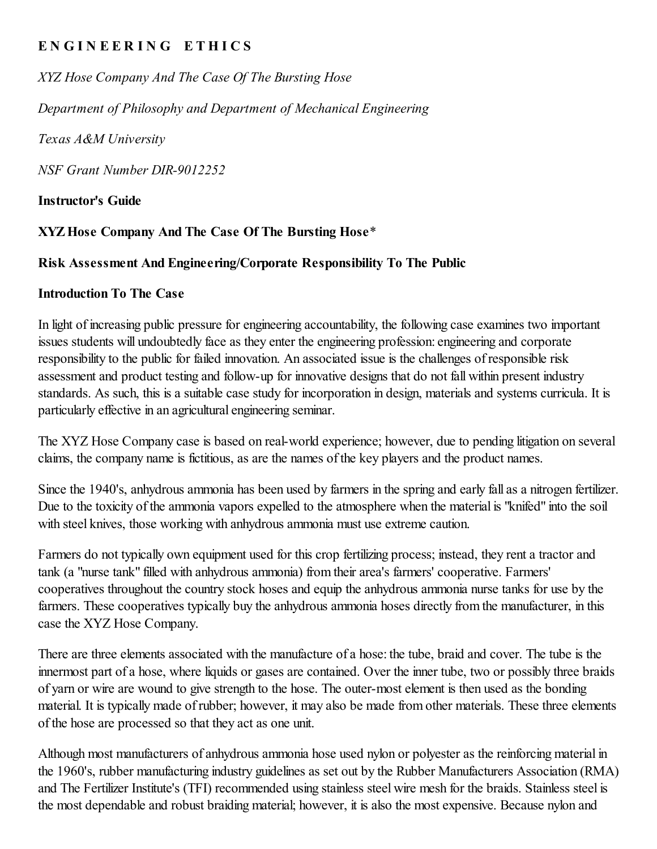## ENGINEERING ETHICS

*XYZ Hose Company And The Case Of The Bursting Hose*

*Department of Philosophy and Department of Mechanical Engineering*

*Texas A&M University*

*NSF Grant Number DIR-9012252*

Instructor's Guide

## XYZHose Company And The Case Of The Bursting Hose\*

### Risk Assessment And Engineering/Corporate Responsibility To The Public

### Introduction To The Case

In light of increasing public pressure for engineering accountability, the following case examines two important issues students will undoubtedly face as they enter the engineering profession: engineering and corporate responsibility to the public for failed innovation. An associated issue is the challenges of responsible risk assessment and product testing and follow-up for innovative designs that do not fall within present industry standards. As such, this is a suitable case study for incorporation in design, materials and systems curricula. It is particularly effective in an agricultural engineering seminar.

The XYZ Hose Company case is based on real-world experience; however, due to pending litigation on several claims, the company name is fictitious, as are the names of the key players and the product names.

Since the 1940's, anhydrous ammonia has been used by farmers in the spring and early fall as a nitrogen fertilizer. Due to the toxicity of the ammonia vapors expelled to the atmosphere when the material is "knifed" into the soil with steel knives, those working with anhydrous ammonia must use extreme caution.

Farmers do not typically own equipment used for this crop fertilizing process; instead, they rent a tractor and tank (a "nurse tank" filled with anhydrous ammonia) from their area's farmers' cooperative. Farmers' cooperatives throughout the country stock hoses and equip the anhydrous ammonia nurse tanks for use by the farmers. These cooperatives typically buy the anhydrous ammonia hoses directly from the manufacturer, in this case the XYZ Hose Company.

There are three elements associated with the manufacture of a hose: the tube, braid and cover. The tube is the innermost part of a hose, where liquids or gases are contained. Over the inner tube, two or possibly three braids of yarn or wire are wound to give strength to the hose. The outer-most element is then used as the bonding material. It is typically made of rubber; however, it may also be made from other materials. These three elements of the hose are processed so that they act as one unit.

Although most manufacturers of anhydrous ammonia hose used nylon or polyester as the reinforcing material in the 1960's, rubber manufacturing industry guidelines as set out by the Rubber Manufacturers Association (RMA) and The Fertilizer Institute's (TFI) recommended using stainless steel wire mesh for the braids. Stainless steel is the most dependable and robust braiding material; however, it is also the most expensive. Because nylon and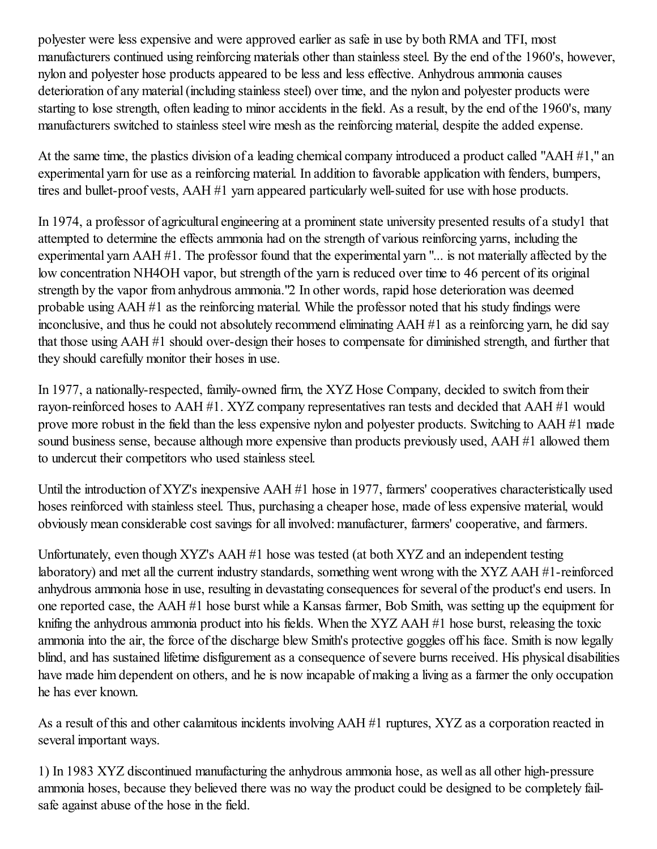polyester were less expensive and were approved earlier as safe in use by both RMA and TFI, most manufacturers continued using reinforcing materials other than stainless steel. By the end of the 1960's, however, nylon and polyester hose products appeared to be less and less effective. Anhydrous ammonia causes deterioration of any material (including stainless steel) over time, and the nylon and polyester products were starting to lose strength, often leading to minor accidents in the field. As a result, by the end of the 1960's, many manufacturers switched to stainless steel wire mesh as the reinforcing material, despite the added expense.

At the same time, the plastics division of a leading chemical company introduced a product called "AAH #1," an experimental yarn for use as a reinforcing material. In addition to favorable application with fenders, bumpers, tires and bullet-proof vests, AAH #1 yarn appeared particularly well-suited for use with hose products.

In 1974, a professor of agricultural engineering at a prominent state university presented results of a study1 that attempted to determine the effects ammonia had on the strength of various reinforcing yarns, including the experimental yarn AAH #1. The professor found that the experimental yarn "... is not materially affected by the low concentration NH4OH vapor, but strength of the yarn is reduced over time to 46 percent of its original strength by the vapor from anhydrous ammonia."2 In other words, rapid hose deterioration was deemed probable using AAH #1 as the reinforcing material. While the professor noted that his study findings were inconclusive, and thus he could not absolutely recommend eliminating AAH #1 as a reinforcing yarn, he did say that those using AAH #1 should over-design their hoses to compensate for diminished strength, and further that they should carefully monitor their hoses in use.

In 1977, a nationally-respected, family-owned firm, the XYZ Hose Company, decided to switch from their rayon-reinforced hoses to AAH #1. XYZ company representatives ran tests and decided that AAH #1 would prove more robust in the field than the less expensive nylon and polyester products. Switching to AAH #1 made sound business sense, because although more expensive than products previously used, AAH #1 allowed them to undercut their competitors who used stainless steel.

Until the introduction of XYZ's inexpensive AAH #1 hose in 1977, farmers' cooperatives characteristically used hoses reinforced with stainless steel. Thus, purchasing a cheaper hose, made of less expensive material, would obviously mean considerable cost savings for all involved: manufacturer, farmers' cooperative, and farmers.

Unfortunately, even though XYZ's AAH #1 hose was tested (at both XYZ and an independent testing laboratory) and met all the current industry standards, something went wrong with the XYZ AAH #1-reinforced anhydrous ammonia hose in use, resulting in devastating consequences for several of the product's end users. In one reported case, the AAH #1 hose burst while a Kansas farmer, Bob Smith, was setting up the equipment for knifing the anhydrous ammonia product into his fields. When the XYZ AAH #1 hose burst, releasing the toxic ammonia into the air, the force of the discharge blew Smith's protective goggles off his face. Smith is now legally blind, and has sustained lifetime disfigurement as a consequence of severe burns received. His physical disabilities have made him dependent on others, and he is now incapable of making a living as a farmer the only occupation he has ever known.

As a result of this and other calamitous incidents involving AAH #1 ruptures, XYZ as a corporation reacted in several important ways.

1) In 1983 XYZ discontinued manufacturing the anhydrous ammonia hose, as well as all other high-pressure ammonia hoses, because they believed there was no way the product could be designed to be completely failsafe against abuse of the hose in the field.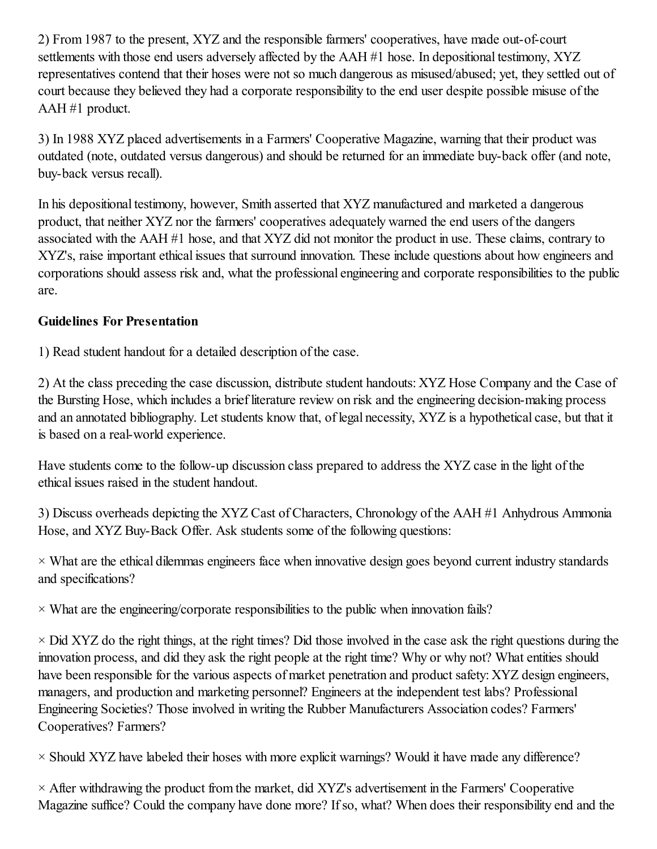2) From 1987 to the present, XYZ and the responsible farmers' cooperatives, have made out-of-court settlements with those end users adversely affected by the AAH #1 hose. In depositional testimony, XYZ representatives contend that their hoses were not so much dangerous as misused/abused; yet, they settled out of court because they believed they had a corporate responsibility to the end user despite possible misuse of the AAH #1 product.

3) In 1988 XYZ placed advertisements in a Farmers' Cooperative Magazine, warning that their product was outdated (note, outdated versus dangerous) and should be returned for an immediate buy-back offer (and note, buy-back versus recall).

In his depositional testimony, however, Smith asserted that XYZ manufactured and marketed a dangerous product, that neither XYZ nor the farmers' cooperatives adequately warned the end users of the dangers associated with the AAH #1 hose, and that XYZ did not monitor the product in use. These claims, contrary to XYZ's, raise important ethical issues that surround innovation. These include questions about how engineers and corporations should assess risk and, what the professional engineering and corporate responsibilities to the public are.

### Guidelines For Presentation

1) Read student handout for a detailed description of the case.

2) At the class preceding the case discussion, distribute student handouts: XYZ Hose Company and the Case of the Bursting Hose, which includes a brief literature review on risk and the engineering decision-making process and an annotated bibliography. Let students know that, of legal necessity, XYZ is a hypothetical case, but that it is based on a real-world experience.

Have students come to the follow-up discussion class prepared to address the XYZ case in the light of the ethical issues raised in the student handout.

3) Discuss overheads depicting the XYZ Cast of Characters, Chronology of the AAH #1 Anhydrous Ammonia Hose, and XYZ Buy-Back Offer. Ask students some of the following questions:

 $\times$  What are the ethical dilemmas engineers face when innovative design goes beyond current industry standards and specifications?

 $\times$  What are the engineering/corporate responsibilities to the public when innovation fails?

 $\times$  Did XYZ do the right things, at the right times? Did those involved in the case ask the right questions during the innovation process, and did they ask the right people at the right time? Why or why not? What entities should have been responsible for the various aspects of market penetration and product safety: XYZ design engineers, managers, and production and marketing personnel? Engineers at the independent test labs? Professional Engineering Societies? Those involved in writing the Rubber Manufacturers Association codes? Farmers' Cooperatives? Farmers?

 $\times$  Should XYZ have labeled their hoses with more explicit warnings? Would it have made any difference?

 $\times$  After withdrawing the product from the market, did XYZ's advertisement in the Farmers' Cooperative Magazine suffice? Could the company have done more? If so, what? When does their responsibility end and the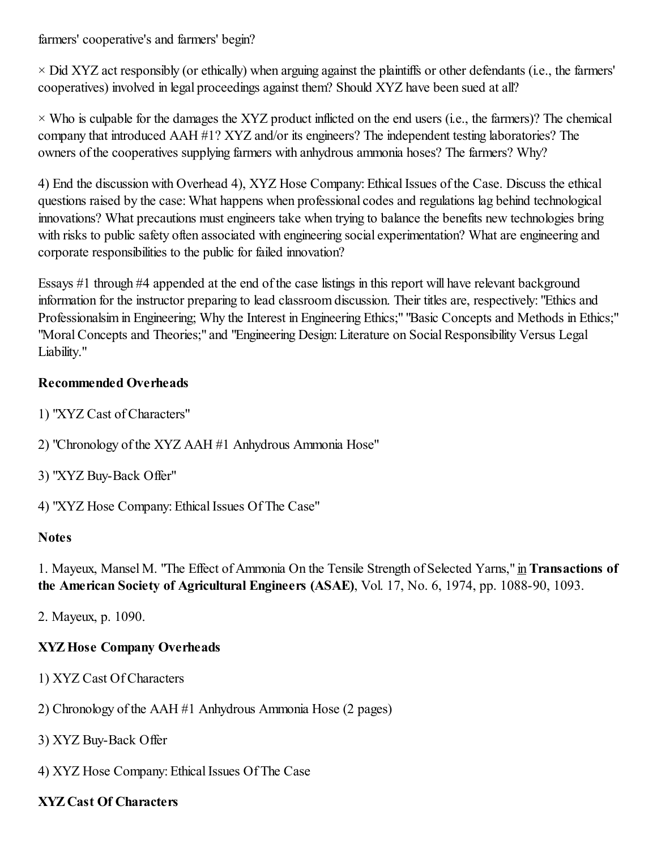farmers' cooperative's and farmers' begin?

 $\times$  Did XYZ act responsibly (or ethically) when arguing against the plaintiffs or other defendants (i.e., the farmers' cooperatives) involved in legal proceedings against them? Should XYZ have been sued at all?

 $\times$  Who is culpable for the damages the XYZ product inflicted on the end users (i.e., the farmers)? The chemical company that introduced AAH #1? XYZ and/or its engineers? The independent testing laboratories? The owners of the cooperatives supplying farmers with anhydrous ammonia hoses? The farmers? Why?

4) End the discussion with Overhead 4), XYZ Hose Company: Ethical Issues of the Case. Discuss the ethical questions raised by the case: What happens when professional codes and regulations lag behind technological innovations? What precautions must engineers take when trying to balance the benefits new technologies bring with risks to public safety often associated with engineering social experimentation? What are engineering and corporate responsibilities to the public for failed innovation?

Essays #1 through #4 appended at the end of the case listings in this report will have relevant background information for the instructor preparing to lead classroom discussion. Their titles are, respectively: "Ethics and Professionalsim in Engineering; Why the Interest in Engineering Ethics;" "Basic Concepts and Methods in Ethics;" "Moral Concepts and Theories;" and "Engineering Design: Literature on Social Responsibility Versus Legal Liability."

### Recommended Overheads

- 1) "XYZ Cast of Characters"
- 2) "Chronology of the XYZ AAH #1 Anhydrous Ammonia Hose"
- 3) "XYZ Buy-Back Offer"
- 4) "XYZ Hose Company: Ethical Issues Of The Case"

### **Notes**

1. Mayeux, Mansel M. "The Effect of Ammonia On the Tensile Strength of Selected Yarns," in Transactions of the American Society of Agricultural Engineers (ASAE), Vol. 17, No. 6, 1974, pp. 1088-90, 1093.

2. Mayeux, p. 1090.

## XYZHose Company Overheads

- 1) XYZ Cast Of Characters
- 2) Chronology of the AAH #1 Anhydrous Ammonia Hose (2 pages)
- 3) XYZ Buy-Back Offer
- 4) XYZ Hose Company: Ethical Issues Of The Case

## XYZ Cast Of Characters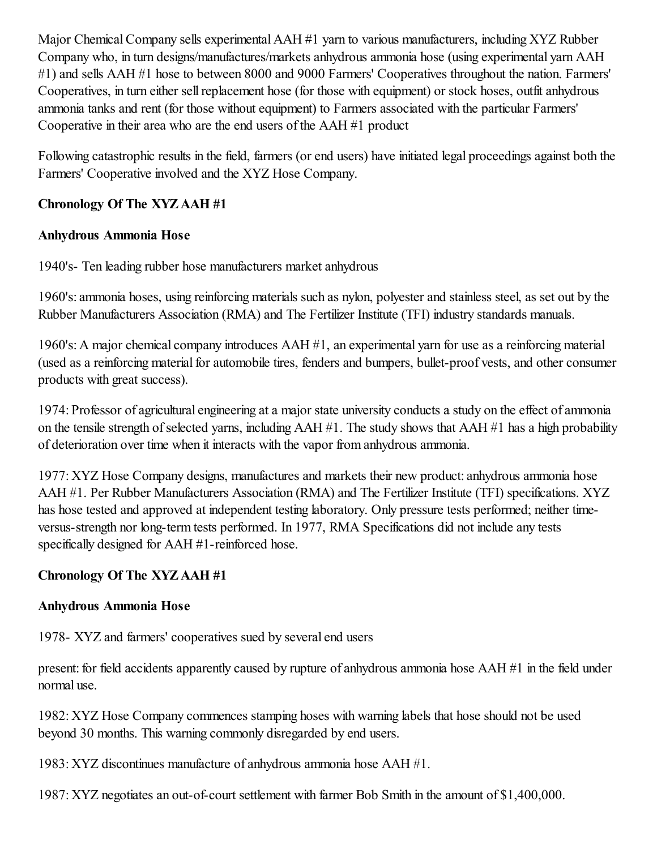Major Chemical Company sells experimental AAH #1 yarn to various manufacturers, including XYZ Rubber Company who, in turn designs/manufactures/markets anhydrous ammonia hose (using experimental yarn AAH #1) and sells AAH #1 hose to between 8000 and 9000 Farmers' Cooperatives throughout the nation. Farmers' Cooperatives, in turn either sellreplacement hose (for those with equipment) or stock hoses, outfit anhydrous ammonia tanks and rent (for those without equipment) to Farmers associated with the particular Farmers' Cooperative in their area who are the end users of the AAH #1 product

Following catastrophic results in the field, farmers (or end users) have initiated legal proceedings against both the Farmers' Cooperative involved and the XYZ Hose Company.

## Chronology Of The XYZ AAH #1

## Anhydrous Ammonia Hose

1940's- Ten leading rubber hose manufacturers market anhydrous

1960's: ammonia hoses, using reinforcing materials such as nylon, polyester and stainless steel, as set out by the Rubber Manufacturers Association (RMA) and The Fertilizer Institute (TFI) industry standards manuals.

1960's: A major chemical company introduces AAH #1, an experimental yarn for use as a reinforcing material (used as a reinforcing material for automobile tires, fenders and bumpers, bullet-proof vests, and other consumer products with great success).

1974: Professor of agricultural engineering at a major state university conducts a study on the effect of ammonia on the tensile strength of selected varns, including  $AAH \#1$ . The study shows that  $AAH \#1$  has a high probability of deterioration over time when it interacts with the vapor from anhydrous ammonia.

1977: XYZ Hose Company designs, manufactures and markets their new product: anhydrous ammonia hose AAH #1. Per Rubber Manufacturers Association (RMA) and The Fertilizer Institute (TFI) specifications. XYZ has hose tested and approved at independent testing laboratory. Only pressure tests performed; neither timeversus-strength nor long-term tests performed. In 1977, RMA Specifications did not include any tests specifically designed for AAH #1-reinforced hose.

## Chronology Of The XYZ AAH #1

## Anhydrous Ammonia Hose

1978- XYZ and farmers' cooperatives sued by several end users

present: for field accidents apparently caused by rupture of anhydrous ammonia hose AAH #1 in the field under normal use.

1982: XYZ Hose Company commences stamping hoses with warning labels that hose should not be used beyond 30 months. This warning commonly disregarded by end users.

1983: XYZ discontinues manufacture of anhydrous ammonia hose AAH #1.

1987: XYZ negotiates an out-of-court settlement with farmer Bob Smith in the amount of \$1,400,000.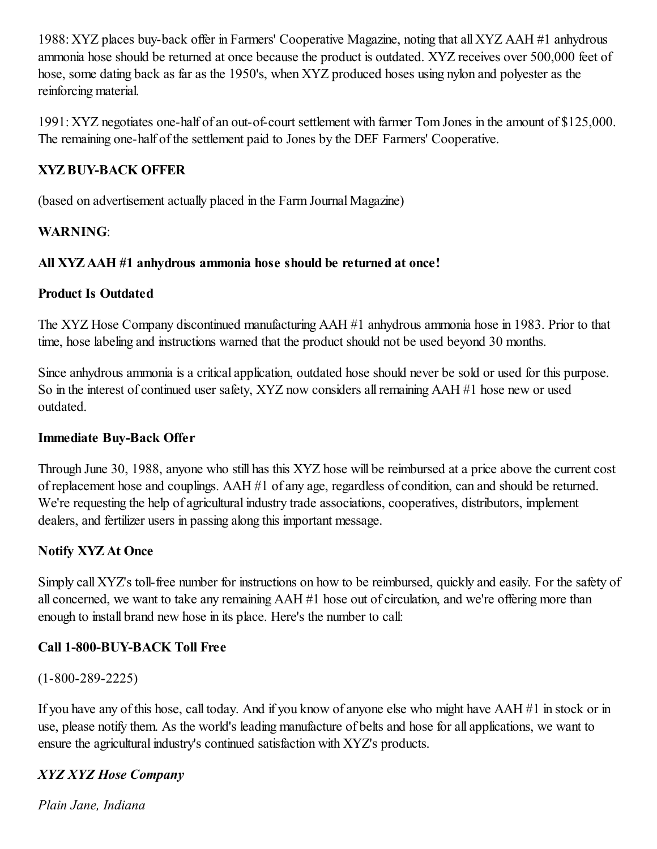1988: XYZ places buy-back offer in Farmers' Cooperative Magazine, noting that all XYZ AAH #1 anhydrous ammonia hose should be returned at once because the product is outdated. XYZ receives over 500,000 feet of hose, some dating back as far as the 1950's, when XYZ produced hoses using nylon and polyester as the reinforcing material.

1991: XYZ negotiates one-half of an out-of-court settlement with farmer Tom Jones in the amount of \$125,000. The remaining one-half of the settlement paid to Jones by the DEF Farmers' Cooperative.

# XYZBUY-BACK OFFER

(based on advertisement actually placed in the Farm Journal Magazine)

### WARNING:

### All XYZ AAH #1 anhydrous ammonia hose should be returned at once!

### Product Is Outdated

The XYZ Hose Company discontinued manufacturing AAH #1 anhydrous ammonia hose in 1983. Prior to that time, hose labeling and instructions warned that the product should not be used beyond 30 months.

Since anhydrous ammonia is a critical application, outdated hose should never be sold or used for this purpose. So in the interest of continued user safety, XYZ now considers allremaining AAH #1 hose new or used outdated.

### Immediate Buy-Back Offer

Through June 30, 1988, anyone who still has this XYZ hose will be reimbursed at a price above the current cost of replacement hose and couplings. AAH #1 of any age, regardless of condition, can and should be returned. We're requesting the help of agricultural industry trade associations, cooperatives, distributors, implement dealers, and fertilizer users in passing along this important message.

## Notify XYZ At Once

Simply call XYZ's toll-free number for instructions on how to be reimbursed, quickly and easily. For the safety of all concerned, we want to take any remaining AAH #1 hose out of circulation, and we're offering more than enough to install brand new hose in its place. Here's the number to call:

## Call 1-800-BUY-BACK Toll Free

(1-800-289-2225)

If you have any of this hose, call today. And if you know of anyone else who might have AAH #1 in stock or in use, please notify them. As the world's leading manufacture of belts and hose for all applications, we want to ensure the agricultural industry's continued satisfaction with XYZ's products.

# *XYZ XYZ Hose Company*

*Plain Jane, Indiana*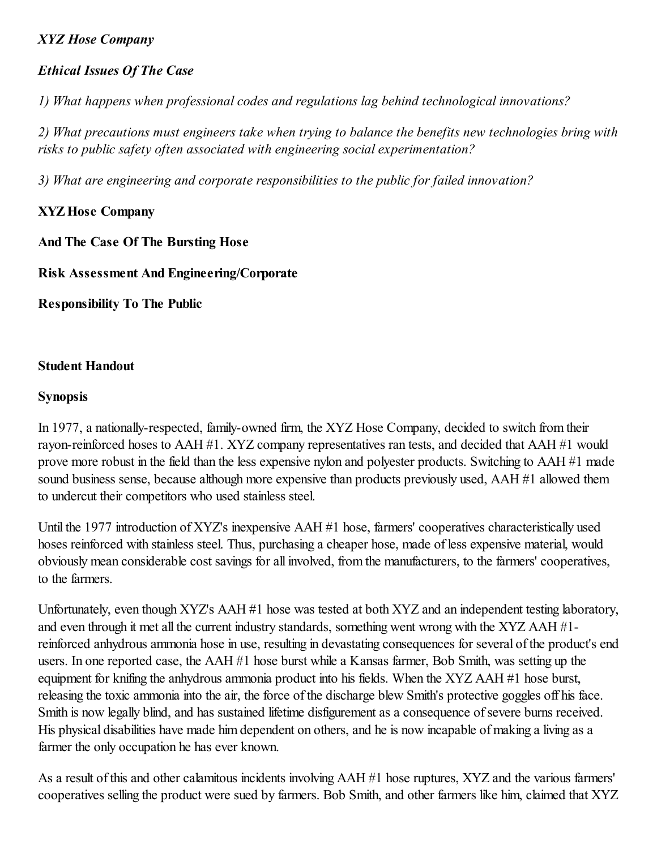### *XYZ Hose Company*

### *Ethical Issues Of The Case*

*1) What happens when professional codes and regulations lag behind technological innovations?*

*2) What precautions must engineers take when trying to balance the benefits new technologies bring with risks to public safety often associated with engineering social experimentation?*

*3) What are engineering and corporate responsibilities to the public for failed innovation?*

### XYZHose Company

And The Case Of The Bursting Hose

Risk Assessment And Engineering/Corporate

Responsibility To The Public

### Student Handout

### Synopsis

In 1977, a nationally-respected, family-owned firm, the XYZ Hose Company, decided to switch from their rayon-reinforced hoses to AAH #1. XYZ company representatives ran tests, and decided that AAH #1 would prove more robust in the field than the less expensive nylon and polyester products. Switching to AAH #1 made sound business sense, because although more expensive than products previously used, AAH #1 allowed them to undercut their competitors who used stainless steel.

Until the 1977 introduction of XYZ's inexpensive AAH #1 hose, farmers' cooperatives characteristically used hoses reinforced with stainless steel. Thus, purchasing a cheaper hose, made of less expensive material, would obviously mean considerable cost savings for all involved, from the manufacturers, to the farmers' cooperatives, to the farmers.

Unfortunately, even though XYZ's AAH #1 hose was tested at both XYZ and an independent testing laboratory, and even through it met all the current industry standards, something went wrong with the XYZ AAH #1 reinforced anhydrous ammonia hose in use, resulting in devastating consequences for several of the product's end users. In one reported case, the AAH #1 hose burst while a Kansas farmer, Bob Smith, was setting up the equipment for knifing the anhydrous ammonia product into his fields. When the XYZ AAH #1 hose burst, releasing the toxic ammonia into the air, the force of the discharge blew Smith's protective goggles off his face. Smith is now legally blind, and has sustained lifetime disfigurement as a consequence of severe burns received. His physical disabilities have made him dependent on others, and he is now incapable of making a living as a farmer the only occupation he has ever known.

As a result of this and other calamitous incidents involving AAH #1 hose ruptures, XYZ and the various farmers' cooperatives selling the product were sued by farmers. Bob Smith, and other farmers like him, claimed that XYZ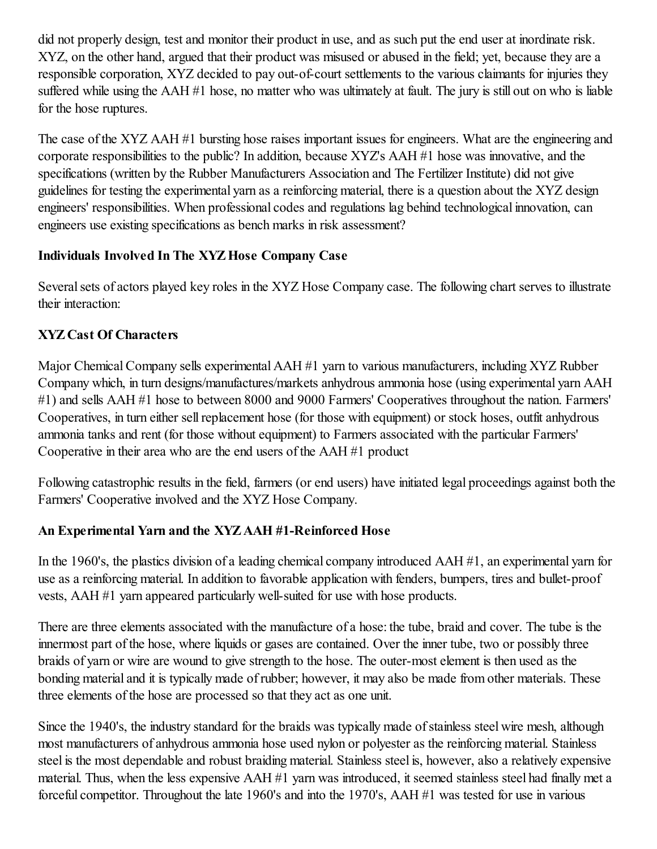did not properly design, test and monitor their product in use, and as such put the end user at inordinate risk. XYZ, on the other hand, argued that their product was misused or abused in the field; yet, because they are a responsible corporation, XYZ decided to pay out-of-court settlements to the various claimants for injuries they suffered while using the AAH #1 hose, no matter who was ultimately at fault. The jury is still out on who is liable for the hose ruptures.

The case of the XYZ AAH #1 bursting hose raises important issues for engineers. What are the engineering and corporate responsibilities to the public? In addition, because XYZ's AAH #1 hose was innovative, and the specifications (written by the Rubber Manufacturers Association and The Fertilizer Institute) did not give guidelines for testing the experimental yarn as a reinforcing material, there is a question about the XYZ design engineers' responsibilities. When professional codes and regulations lag behind technological innovation, can engineers use existing specifications as bench marks in risk assessment?

### Individuals Involved In The XYZHose Company Case

Several sets of actors played key roles in the XYZ Hose Company case. The following chart serves to illustrate their interaction:

# XYZ Cast Of Characters

Major Chemical Company sells experimental AAH #1 yarn to various manufacturers, including XYZ Rubber Company which, in turn designs/manufactures/markets anhydrous ammonia hose (using experimental yarn AAH #1) and sells AAH #1 hose to between 8000 and 9000 Farmers' Cooperatives throughout the nation. Farmers' Cooperatives, in turn either sell replacement hose (for those with equipment) or stock hoses, outfit anhydrous ammonia tanks and rent (for those without equipment) to Farmers associated with the particular Farmers' Cooperative in their area who are the end users of the AAH #1 product

Following catastrophic results in the field, farmers (or end users) have initiated legal proceedings against both the Farmers' Cooperative involved and the XYZ Hose Company.

## An Experimental Yarn and the XYZ AAH #1-Reinforced Hose

In the 1960's, the plastics division of a leading chemical company introduced AAH #1, an experimental yarn for use as a reinforcing material. In addition to favorable application with fenders, bumpers, tires and bullet-proof vests, AAH #1 yarn appeared particularly well-suited for use with hose products.

There are three elements associated with the manufacture of a hose: the tube, braid and cover. The tube is the innermost part of the hose, where liquids or gases are contained. Over the inner tube, two or possibly three braids of yarn or wire are wound to give strength to the hose. The outer-most element is then used as the bonding material and it is typically made of rubber; however, it may also be made from other materials. These three elements of the hose are processed so that they act as one unit.

Since the 1940's, the industry standard for the braids was typically made of stainless steel wire mesh, although most manufacturers of anhydrous ammonia hose used nylon or polyester as the reinforcing material. Stainless steel is the most dependable and robust braiding material. Stainless steel is, however, also a relatively expensive material. Thus, when the less expensive AAH #1 yarn was introduced, it seemed stainless steel had finally met a forceful competitor. Throughout the late 1960's and into the 1970's, AAH #1 was tested for use in various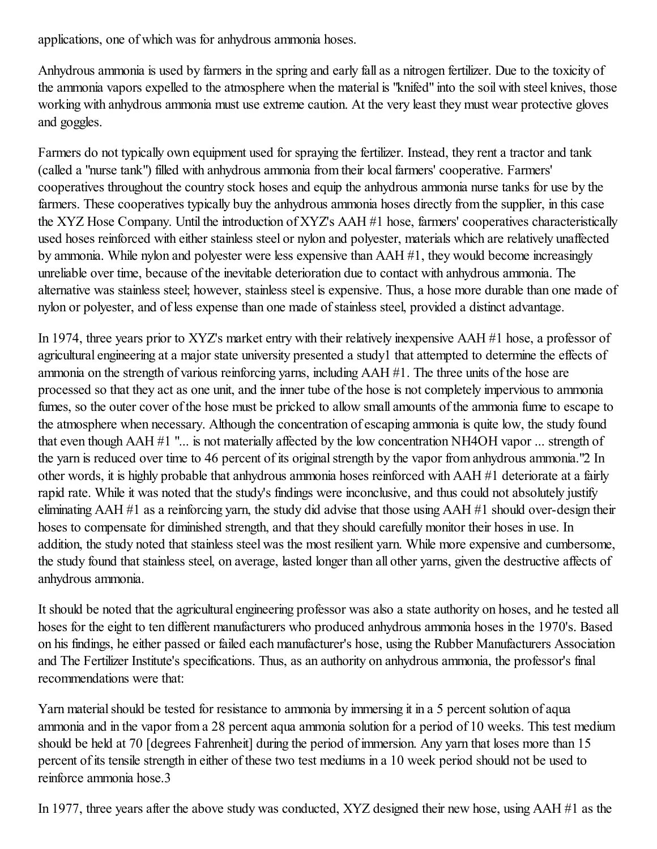applications, one of which was for anhydrous ammonia hoses.

Anhydrous ammonia is used by farmers in the spring and early fall as a nitrogen fertilizer. Due to the toxicity of the ammonia vapors expelled to the atmosphere when the material is "knifed" into the soil with steel knives, those working with anhydrous ammonia must use extreme caution. At the very least they must wear protective gloves and goggles.

Farmers do not typically own equipment used for spraying the fertilizer. Instead, they rent a tractor and tank (called a "nurse tank") filled with anhydrous ammonia from their local farmers' cooperative. Farmers' cooperatives throughout the country stock hoses and equip the anhydrous ammonia nurse tanks for use by the farmers. These cooperatives typically buy the anhydrous ammonia hoses directly from the supplier, in this case the XYZ Hose Company. Until the introduction of XYZ's AAH #1 hose, farmers' cooperatives characteristically used hoses reinforced with either stainless steel or nylon and polyester, materials which are relatively unaffected by ammonia. While nylon and polyester were less expensive than AAH #1, they would become increasingly unreliable over time, because of the inevitable deterioration due to contact with anhydrous ammonia. The alternative was stainless steel; however, stainless steel is expensive. Thus, a hose more durable than one made of nylon or polyester, and of less expense than one made of stainless steel, provided a distinct advantage.

In 1974, three years prior to XYZ's market entry with their relatively inexpensive AAH #1 hose, a professor of agricultural engineering at a major state university presented a study1 that attempted to determine the effects of ammonia on the strength of various reinforcing yarns, including AAH #1. The three units of the hose are processed so that they act as one unit, and the inner tube of the hose is not completely impervious to ammonia fumes, so the outer cover of the hose must be pricked to allow small amounts of the ammonia fume to escape to the atmosphere when necessary. Although the concentration of escaping ammonia is quite low, the study found that even though AAH #1 "... is not materially affected by the low concentration NH4OH vapor ... strength of the yarn is reduced over time to 46 percent of its original strength by the vapor from anhydrous ammonia."2 In other words, it is highly probable that anhydrous ammonia hoses reinforced with AAH #1 deteriorate at a fairly rapid rate. While it was noted that the study's findings were inconclusive, and thus could not absolutely justify eliminating AAH #1 as a reinforcing yarn, the study did advise that those using AAH #1 should over-design their hoses to compensate for diminished strength, and that they should carefully monitor their hoses in use. In addition, the study noted that stainless steel was the most resilient yarn. While more expensive and cumbersome, the study found that stainless steel, on average, lasted longer than all other yarns, given the destructive affects of anhydrous ammonia.

It should be noted that the agricultural engineering professor was also a state authority on hoses, and he tested all hoses for the eight to ten different manufacturers who produced anhydrous ammonia hoses in the 1970's. Based on his findings, he either passed or failed each manufacturer's hose, using the Rubber Manufacturers Association and The Fertilizer Institute's specifications. Thus, as an authority on anhydrous ammonia, the professor's final recommendations were that:

Yarn material should be tested for resistance to ammonia by immersing it in a 5 percent solution of aqua ammonia and in the vapor from a 28 percent aqua ammonia solution for a period of 10 weeks. This test medium should be held at 70 [degrees Fahrenheit] during the period of immersion. Any yarn that loses more than 15 percent of its tensile strength in either of these two test mediums in a 10 week period should not be used to reinforce ammonia hose.3

In 1977, three years after the above study was conducted, XYZ designed their new hose, using AAH #1 as the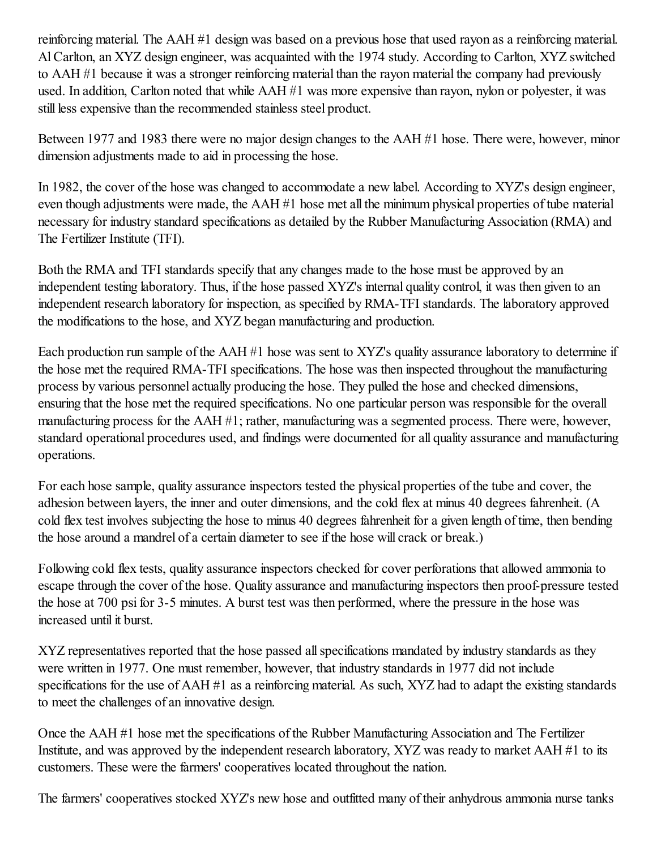reinforcing material. The AAH #1 design was based on a previous hose that used rayon as a reinforcing material. AlCarlton, an XYZ design engineer, was acquainted with the 1974 study. According to Carlton, XYZ switched to AAH #1 because it was a stronger reinforcing material than the rayon material the company had previously used. In addition, Carlton noted that while AAH #1 was more expensive than rayon, nylon or polyester, it was still less expensive than the recommended stainless steel product.

Between 1977 and 1983 there were no major design changes to the AAH #1 hose. There were, however, minor dimension adjustments made to aid in processing the hose.

In 1982, the cover of the hose was changed to accommodate a new label. According to XYZ's design engineer, even though adjustments were made, the AAH #1 hose met all the minimum physical properties of tube material necessary for industry standard specifications as detailed by the Rubber Manufacturing Association (RMA) and The Fertilizer Institute (TFI).

Both the RMA and TFI standards specify that any changes made to the hose must be approved by an independent testing laboratory. Thus, if the hose passed XYZ's internal quality control, it was then given to an independent research laboratory for inspection, as specified by RMA-TFI standards. The laboratory approved the modifications to the hose, and XYZ began manufacturing and production.

Each production run sample of the AAH #1 hose was sent to XYZ's quality assurance laboratory to determine if the hose met the required RMA-TFI specifications. The hose was then inspected throughout the manufacturing process by various personnel actually producing the hose. They pulled the hose and checked dimensions, ensuring that the hose met the required specifications. No one particular person was responsible for the overall manufacturing process for the AAH #1; rather, manufacturing was a segmented process. There were, however, standard operational procedures used, and findings were documented for all quality assurance and manufacturing operations.

For each hose sample, quality assurance inspectors tested the physical properties of the tube and cover, the adhesion between layers, the inner and outer dimensions, and the cold flex at minus 40 degrees fahrenheit. (A cold flex test involves subjecting the hose to minus 40 degrees fahrenheit for a given length of time, then bending the hose around a mandrel of a certain diameter to see if the hose will crack or break.)

Following cold flex tests, quality assurance inspectors checked for cover perforations that allowed ammonia to escape through the cover of the hose. Quality assurance and manufacturing inspectors then proof-pressure tested the hose at 700 psi for 3-5 minutes. A burst test was then performed, where the pressure in the hose was increased until it burst.

XYZ representatives reported that the hose passed all specifications mandated by industry standards as they were written in 1977. One must remember, however, that industry standards in 1977 did not include specifications for the use of AAH #1 as a reinforcing material. As such, XYZ had to adapt the existing standards to meet the challenges of an innovative design.

Once the AAH #1 hose met the specifications of the Rubber Manufacturing Association and The Fertilizer Institute, and was approved by the independent research laboratory, XYZ was ready to market AAH #1 to its customers. These were the farmers' cooperatives located throughout the nation.

The farmers' cooperatives stocked XYZ's new hose and outfitted many of their anhydrous ammonia nurse tanks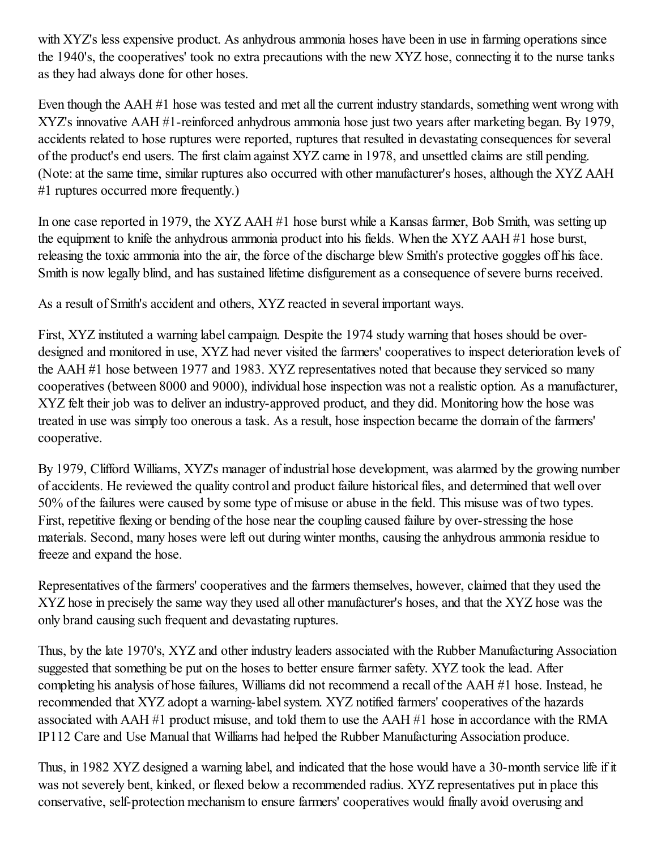with XYZ's less expensive product. As anhydrous ammonia hoses have been in use in farming operations since the 1940's, the cooperatives' took no extra precautions with the new XYZ hose, connecting it to the nurse tanks as they had always done for other hoses.

Even though the AAH #1 hose was tested and met all the current industry standards, something went wrong with XYZ's innovative AAH #1-reinforced anhydrous ammonia hose just two years after marketing began. By 1979, accidents related to hose ruptures were reported, ruptures that resulted in devastating consequences for several of the product's end users. The first claim against XYZ came in 1978, and unsettled claims are still pending. (Note: at the same time, similar ruptures also occurred with other manufacturer's hoses, although the XYZ AAH #1 ruptures occurred more frequently.)

In one case reported in 1979, the XYZ AAH #1 hose burst while a Kansas farmer, Bob Smith, was setting up the equipment to knife the anhydrous ammonia product into his fields. When the XYZ AAH #1 hose burst, releasing the toxic ammonia into the air, the force of the discharge blew Smith's protective goggles off his face. Smith is now legally blind, and has sustained lifetime disfigurement as a consequence of severe burns received.

As a result of Smith's accident and others, XYZ reacted in several important ways.

First, XYZ instituted a warning label campaign. Despite the 1974 study warning that hoses should be overdesigned and monitored in use, XYZ had never visited the farmers' cooperatives to inspect deterioration levels of the AAH #1 hose between 1977 and 1983. XYZ representatives noted that because they serviced so many cooperatives (between 8000 and 9000), individual hose inspection was not a realistic option. As a manufacturer, XYZ felt their job was to deliver an industry-approved product, and they did. Monitoring how the hose was treated in use was simply too onerous a task. As a result, hose inspection became the domain of the farmers' cooperative.

By 1979, Clifford Williams, XYZ's manager of industrial hose development, was alarmed by the growing number of accidents. He reviewed the quality control and product failure historicalfiles, and determined that well over 50% of the failures were caused by some type of misuse or abuse in the field. This misuse was of two types. First, repetitive flexing or bending of the hose near the coupling caused failure by over-stressing the hose materials. Second, many hoses were left out during winter months, causing the anhydrous ammonia residue to freeze and expand the hose.

Representatives of the farmers' cooperatives and the farmers themselves, however, claimed that they used the XYZ hose in precisely the same way they used all other manufacturer's hoses, and that the XYZ hose was the only brand causing such frequent and devastating ruptures.

Thus, by the late 1970's, XYZ and other industry leaders associated with the Rubber Manufacturing Association suggested that something be put on the hoses to better ensure farmer safety. XYZ took the lead. After completing his analysis of hose failures, Williams did not recommend a recall of the AAH #1 hose. Instead, he recommended that XYZ adopt a warning-label system. XYZ notified farmers' cooperatives of the hazards associated with AAH #1 product misuse, and told them to use the AAH #1 hose in accordance with the RMA IP112 Care and Use Manual that Williams had helped the Rubber Manufacturing Association produce.

Thus, in 1982 XYZ designed a warning label, and indicated that the hose would have a 30-month service life if it was not severely bent, kinked, or flexed below a recommended radius. XYZ representatives put in place this conservative, self-protection mechanism to ensure farmers' cooperatives would finally avoid overusing and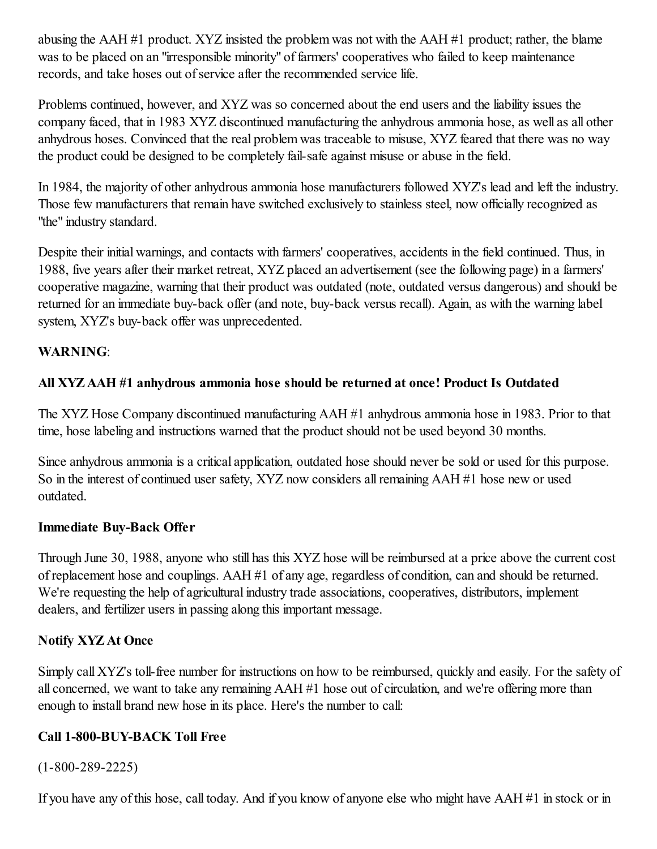abusing the AAH #1 product. XYZ insisted the problem was not with the AAH #1 product; rather, the blame was to be placed on an "irresponsible minority" of farmers' cooperatives who failed to keep maintenance records, and take hoses out of service after the recommended service life.

Problems continued, however, and XYZ was so concerned about the end users and the liability issues the company faced, that in 1983 XYZ discontinued manufacturing the anhydrous ammonia hose, as well as all other anhydrous hoses. Convinced that the real problem was traceable to misuse, XYZ feared that there was no way the product could be designed to be completely fail-safe against misuse or abuse in the field.

In 1984, the majority of other anhydrous ammonia hose manufacturers followed XYZ's lead and left the industry. Those few manufacturers that remain have switched exclusively to stainless steel, now officially recognized as "the" industry standard.

Despite their initial warnings, and contacts with farmers' cooperatives, accidents in the field continued. Thus, in 1988, five years after their market retreat, XYZ placed an advertisement (see the following page) in a farmers' cooperative magazine, warning that their product was outdated (note, outdated versus dangerous) and should be returned for an immediate buy-back offer (and note, buy-back versus recall). Again, as with the warning label system, XYZ's buy-back offer was unprecedented.

### WARNING:

## All XYZ AAH #1 anhydrous ammonia hose should be returned at once! Product Is Outdated

The XYZ Hose Company discontinued manufacturing AAH #1 anhydrous ammonia hose in 1983. Prior to that time, hose labeling and instructions warned that the product should not be used beyond 30 months.

Since anhydrous ammonia is a critical application, outdated hose should never be sold or used for this purpose. So in the interest of continued user safety, XYZ now considers allremaining AAH #1 hose new or used outdated.

### Immediate Buy-Back Offer

Through June 30, 1988, anyone who still has this XYZ hose will be reimbursed at a price above the current cost of replacement hose and couplings. AAH #1 of any age, regardless of condition, can and should be returned. We're requesting the help of agricultural industry trade associations, cooperatives, distributors, implement dealers, and fertilizer users in passing along this important message.

### Notify XYZ At Once

Simply call XYZ's toll-free number for instructions on how to be reimbursed, quickly and easily. For the safety of all concerned, we want to take any remaining AAH #1 hose out of circulation, and we're offering more than enough to install brand new hose in its place. Here's the number to call:

### Call 1-800-BUY-BACK Toll Free

(1-800-289-2225)

If you have any of this hose, call today. And if you know of anyone else who might have AAH #1 in stock or in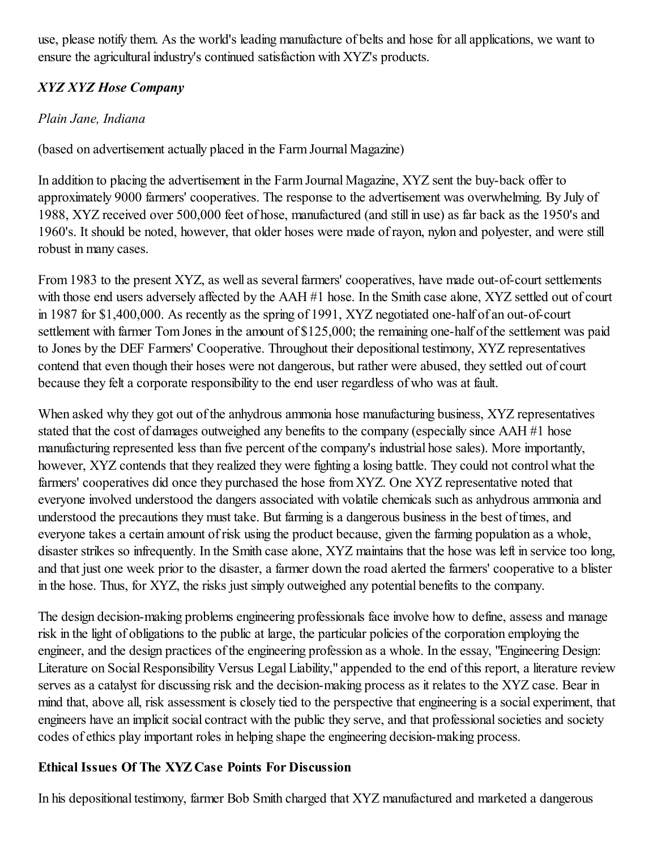use, please notify them. As the world's leading manufacture of belts and hose for all applications, we want to ensure the agricultural industry's continued satisfaction with XYZ's products.

# *XYZ XYZ Hose Company*

## *Plain Jane, Indiana*

(based on advertisement actually placed in the Farm Journal Magazine)

In addition to placing the advertisement in the Farm Journal Magazine, XYZ sent the buy-back offer to approximately 9000 farmers' cooperatives. The response to the advertisement was overwhelming. By July of 1988, XYZ received over 500,000 feet of hose, manufactured (and still in use) as far back as the 1950's and 1960's. It should be noted, however, that older hoses were made of rayon, nylon and polyester, and were still robust in many cases.

From 1983 to the present XYZ, as well as several farmers' cooperatives, have made out-of-court settlements with those end users adversely affected by the AAH #1 hose. In the Smith case alone, XYZ settled out of court in 1987 for \$1,400,000. As recently as the spring of 1991, XYZ negotiated one-half of an out-of-court settlement with farmer Tom Jones in the amount of \$125,000; the remaining one-half of the settlement was paid to Jones by the DEF Farmers' Cooperative. Throughout their depositional testimony, XYZ representatives contend that even though their hoses were not dangerous, but rather were abused, they settled out of court because they felt a corporate responsibility to the end user regardless of who was at fault.

When asked why they got out of the anhydrous ammonia hose manufacturing business, XYZ representatives stated that the cost of damages outweighed any benefits to the company (especially since AAH #1 hose manufacturing represented less than five percent of the company's industrial hose sales). More importantly, however, XYZ contends that they realized they were fighting a losing battle. They could not control what the farmers' cooperatives did once they purchased the hose from XYZ. One XYZ representative noted that everyone involved understood the dangers associated with volatile chemicals such as anhydrous ammonia and understood the precautions they must take. But farming is a dangerous business in the best of times, and everyone takes a certain amount of risk using the product because, given the farming population as a whole, disaster strikes so infrequently. In the Smith case alone, XYZ maintains that the hose was left in service too long, and that just one week prior to the disaster, a farmer down the road alerted the farmers' cooperative to a blister in the hose. Thus, for XYZ, the risks just simply outweighed any potential benefits to the company.

The design decision-making problems engineering professionals face involve how to define, assess and manage risk in the light of obligations to the public at large, the particular policies of the corporation employing the engineer, and the design practices of the engineering profession as a whole. In the essay, "Engineering Design: Literature on Social Responsibility Versus Legal Liability," appended to the end of this report, a literature review serves as a catalyst for discussing risk and the decision-making process as it relates to the XYZ case. Bear in mind that, above all, risk assessment is closely tied to the perspective that engineering is a social experiment, that engineers have an implicit social contract with the public they serve, and that professional societies and society codes of ethics play important roles in helping shape the engineering decision-making process.

## Ethical Issues Of The XYZ Case Points For Discussion

In his depositional testimony, farmer Bob Smith charged that XYZ manufactured and marketed a dangerous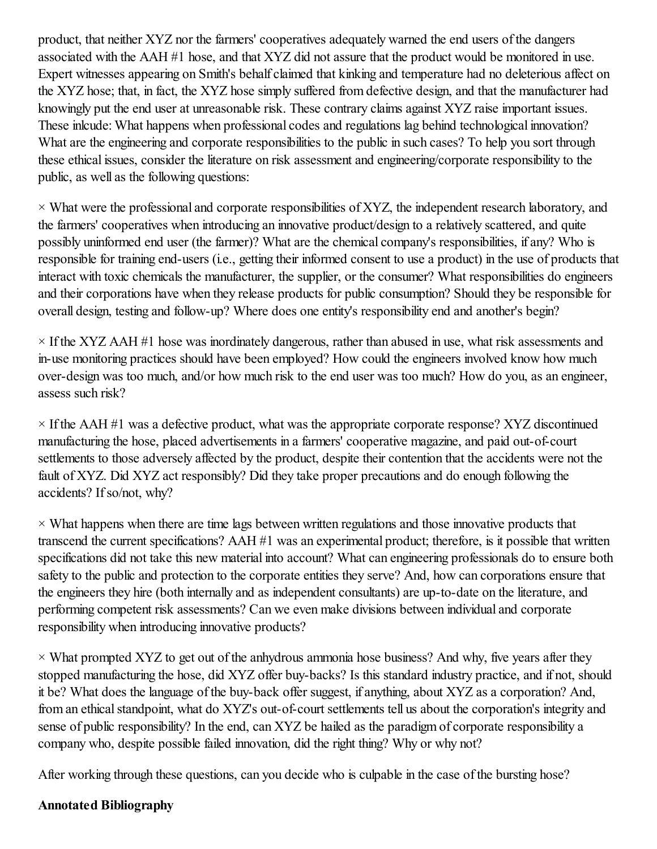product, that neither XYZ nor the farmers' cooperatives adequately warned the end users of the dangers associated with the AAH #1 hose, and that XYZ did not assure that the product would be monitored in use. Expert witnesses appearing on Smith's behalf claimed that kinking and temperature had no deleterious affect on the XYZ hose; that, in fact, the XYZ hose simply suffered from defective design, and that the manufacturer had knowingly put the end user at unreasonable risk. These contrary claims against XYZ raise important issues. These inlcude: What happens when professional codes and regulations lag behind technological innovation? What are the engineering and corporate responsibilities to the public in such cases? To help you sort through these ethical issues, consider the literature on risk assessment and engineering/corporate responsibility to the public, as well as the following questions:

 $\times$  What were the professional and corporate responsibilities of XYZ, the independent research laboratory, and the farmers' cooperatives when introducing an innovative product/design to a relatively scattered, and quite possibly uninformed end user (the farmer)? What are the chemical company's responsibilities, if any? Who is responsible for training end-users (i.e., getting their informed consent to use a product) in the use of products that interact with toxic chemicals the manufacturer, the supplier, or the consumer? What responsibilities do engineers and their corporations have when they release products for public consumption? Should they be responsible for overall design, testing and follow-up? Where does one entity's responsibility end and another's begin?

 $\times$  If the XYZ AAH #1 hose was inordinately dangerous, rather than abused in use, what risk assessments and in-use monitoring practices should have been employed? How could the engineers involved know how much over-design was too much, and/or how much risk to the end user was too much? How do you, as an engineer, assess such risk?

 $\times$  If the AAH #1 was a defective product, what was the appropriate corporate response? XYZ discontinued manufacturing the hose, placed advertisements in a farmers' cooperative magazine, and paid out-of-court settlements to those adversely affected by the product, despite their contention that the accidents were not the fault of XYZ. Did XYZ act responsibly? Did they take proper precautions and do enough following the accidents? Ifso/not, why?

 $\times$  What happens when there are time lags between written regulations and those innovative products that transcend the current specifications? AAH #1 was an experimental product; therefore, is it possible that written specifications did not take this new material into account? What can engineering professionals do to ensure both safety to the public and protection to the corporate entities they serve? And, how can corporations ensure that the engineers they hire (both internally and as independent consultants) are up-to-date on the literature, and performing competent risk assessments? Can we even make divisions between individual and corporate responsibility when introducing innovative products?

 $\times$  What prompted XYZ to get out of the anhydrous ammonia hose business? And why, five years after they stopped manufacturing the hose, did XYZ offer buy-backs? Is this standard industry practice, and if not, should it be? What does the language of the buy-back offer suggest, if anything, about XYZ as a corporation? And, from an ethical standpoint, what do XYZ's out-of-court settlements tell us about the corporation's integrity and sense of public responsibility? In the end, can XYZ be hailed as the paradigm of corporate responsibility a company who, despite possible failed innovation, did the right thing? Why or why not?

After working through these questions, can you decide who is culpable in the case of the bursting hose?

### Annotated Bibliography